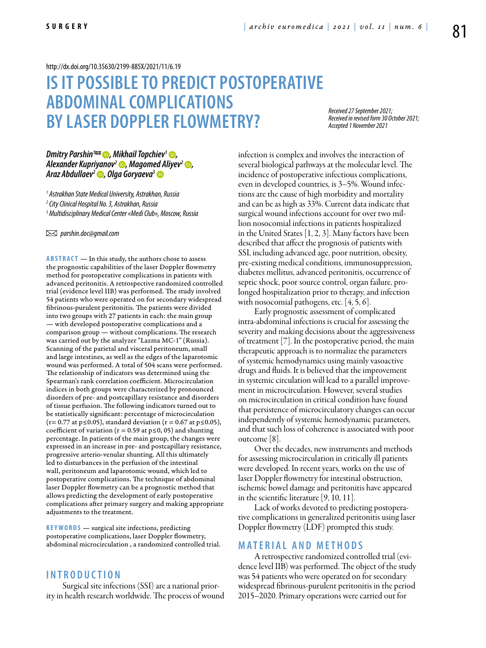#### <http://dx.doi.org/10.35630/2199-885X/2021/11/6.19>

# **IS IT POSSIBLE TO PREDICT POSTOPERATIVE ABDOMINAL COMPLICATIONS BYLASER DOPPLER FLOWMETRY?**

*Received 27 September 2021; Received in revised form 30 October 2021; Accepted 1 November 2021*

### *Dmitry Parshin<sup>1</sup><sup>∞</sup> D, [Mikhail Topchiev](https://orcid.org/0000-0002-9164-7831)<sup>1</sup> D Alexander Kupriyanov<sup>2</sup> (b), Magomed Aliyev<sup>2</sup> (b), [Araz Abdullaev2](http://orsid.org/0000-0002-3584-1876) , [Olga Goryaeva](http://orsid.org/0000-0002-4798-6204)3*

*1 Astrakhan State Medical University, Astrakhan, Russia*

*2 City Clinical Hospital No. 3, Astrakhan, Russia*

*3 Multidisciplinary Medical Center «Medi Club», Moscow, Russia*

 *parshin.doc@gmail.com*

**ABSTRACT** — In this study, the authors chose to assess the prognostic capabilities of the laser Doppler flowmetry method for postoperative complications in patients with advanced peritonitis. A retrospective randomized controlled trial (evidence level IIB) was performed. The study involved 54 patients who were operated on for secondary widespread fibrinous-purulent peritonitis. The patients were divided into two groups with 27 patients in each: the main group — with developed postoperative complications and a comparison group — without complications. The research was carried out by the analyzer "Lazma MC-1" (Russia). Scanning of the parietal and visceral peritoneum, small and large intestines, as well as the edges of the laparotomic wound was performed. A total of 504 scans were performed. The relationship of indicators was determined using the Spearman's rank correlation coefficient. Microcirculation indices in both groups were characterized by pronounced disorders of pre- and postcapillary resistance and disorders of tissue perfusion. The following indicators turned out to be statistically significant: percentage of microcirculation (r= 0.77 at p≤0.05), standard deviation (r = 0.67 at p≤0.05), coefficient of variation ( $r = 0.59$  at  $p \le 0$ , 05) and shunting percentage. In patients of the main group, the changes were expressed in an increase in pre- and postcapillary resistance, progressive arterio-venular shunting. All this ultimately led to disturbances in the perfusion of the intestinal wall, peritoneum and laparotomic wound, which led to postoperative complications. The technique of abdominal laser Doppler flowmetry can be a prognostic method that allows predicting the development of early postoperative complications after primary surgery and making appropriate adjustments to the treatment.

**KEYWORDS** — surgical site infections, predicting postoperative complications, laser Doppler flowmetry, abdominal microcirculation , a randomized controlled trial.

## **I n t r o d uct i o n**

Surgical site infections (SSI) are a national priority in health research worldwide. The process of wound infection is complex and involves the interaction of several biological pathways at the molecular level. The incidence of postoperative infectious complications, even in developed countries, is 3–5%. Wound infections are the cause of high morbidity and mortality and can be as high as 33%. Current data indicate that surgical wound infections account for over two million nosocomial infections in patients hospitalized in the United States [1, 2, 3]. Many factors have been described that affect the prognosis of patients with SSI, including advanced age, poor nutrition, obesity, pre-existing medical conditions, immunosuppression, diabetes mellitus, advanced peritonitis, occurrence of septic shock, poor source control, organ failure, prolonged hospitalization prior to therapy, and infection with nosocomial pathogens, etc. [4, 5, 6].

Early prognostic assessment of complicated intra-abdominal infections is crucial for assessing the severity and making decisions about the aggressiveness of treatment [7]. In the postoperative period, the main therapeutic approach is to normalize the parameters of systemic hemodynamics using mainly vasoactive drugs and fluids. It is believed that the improvement in systemic circulation will lead to a parallel improvement in microcirculation. However, several studies on microcirculation in critical condition have found that persistence of microcirculatory changes can occur independently of systemic hemodynamic parameters, and that such loss of coherence is associated with poor outcome [8].

Over the decades, new instruments and methods for assessing microcirculation in critically ill patients were developed. In recent years, works on the use of laser Doppler flowmetry for intestinal obstruction, ischemic bowel damage and peritonitis have appeared in the scientific literature [9, 10, 11].

Lack of works devoted to predicting postoperative complications in generalized peritonitis using laser Doppler flowmetry (LDF) prompted this study.

#### **MATERIAL AND METHODS**

A retrospective randomized controlled trial (evidence level IIB) was performed. The object of the study was 54 patients who were operated on for secondary widespread fibrinous-purulent peritonitis in the period 2015–2020. Primary operations were carried out for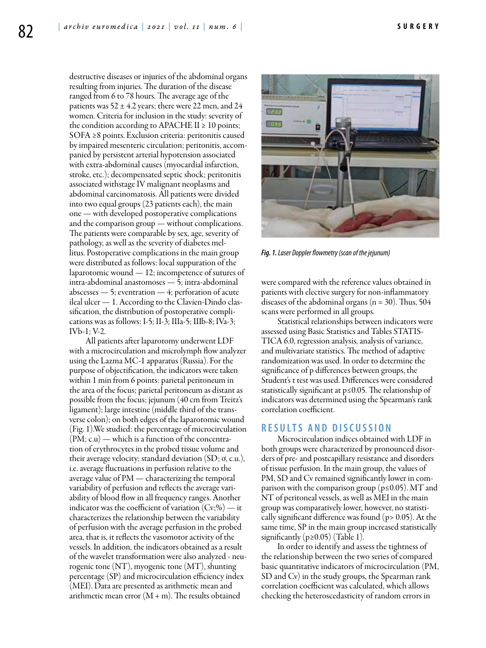destructive diseases or injuries of the abdominal organs resulting from injuries. The duration of the disease ranged from 6 to 78 hours. The average age of the patients was  $52 \pm 4.2$  years; there were 22 men, and 24 women. Criteria for inclusion in the study: severity of the condition according to APACHE II  $\geq 10$  points; SOFA ≥8 points. Exclusion criteria: peritonitis caused by impaired mesenteric circulation; peritonitis, accompanied by persistent arterial hypotension associated with extra-abdominal causes (myocardial infarction, stroke, etc.); decompensated septic shock; peritonitis associated withstage IV malignant neoplasms and abdominal carcinomatosis. All patients were divided into two equal groups (23 patients each), the main one — with developed postoperative complications and the comparison group — without complications. The patients were comparable by sex, age, severity of pathology, as well as the severity of diabetes mellitus. Postoperative complications in the main group were distributed as follows: local suppuration of the laparotomic wound — 12; incompetence of sutures of intra-abdominal anastomoses — 5; intra-abdominal abscesses — 5; eventration — 4; perforation of acute ileal ulcer — 1. According to the Сlavien-Dindo classification, the distribution of postoperative complications was as follows: I-5; II-3; IIIa-5; IIIb-8; IVa-3; IVb-1; V-2.

All patients after laparotomy underwent LDF with a microcirculation and microlymph flow analyzer using the Lazma MC-1 apparatus (Russia). For the purpose of objectification, the indicators were taken within 1 min from 6 points: parietal peritoneum in the area of the focus; parietal peritoneum as distant as possible from the focus; jejunum (40 cm from Treitz's ligament); large intestine (middle third of the transverse colon); on both edges of the laparotomic wound (Fig. 1).We studied: the percentage of microcirculation (PM; с.u) — which is a function of the concentration of erythrocytes in the probed tissue volume and their average velocity; standard deviation (SD; ơ, с.u.), i.e. average fluctuations in perfusion relative to the average value of PM — characterizing the temporal variability of perfusion and reflects the average variability of blood flow in all frequency ranges. Another indicator was the coefficient of variation  $(Cv;\%)$  — it characterizes the relationship between the variability of perfusion with the average perfusion in the probed area, that is, it reflects the vasomotor activity of the vessels. In addition, the indicators obtained as a result of the wavelet transformation were also analyzed - neurogenic tone (NT), myogenic tone (MT), shunting percentage (SP) and microcirculation efficiency index (MEI). Data are presented as arithmetic mean and arithmetic mean error  $(M + m)$ . The results obtained



*Fig. 1. Laser Doppler flowmetry (scan of the jejunum)*

were compared with the reference values obtained in patients with elective surgery for non-inflammatory diseases of the abdominal organs  $(n = 30)$ . Thus, 504 scans were performed in all groups.

Statistical relationships between indicators were assessed using Basic Statistics and Tables STATIS-TICA 6.0, regression analysis, analysis of variance, and multivariate statistics. The method of adaptive randomization was used. In order to determine the significance of p differences between groups, the Student's t test was used. Differences were considered statistically significant at p≤0.05. The relationship of indicators was determined using the Spearman's rank correlation coefficient.

# **R e s u l t s a n d d i scu s s i o n**

Microcirculation indices obtained with LDF in both groups were characterized by pronounced disorders of pre- and postcapillary resistance and disorders of tissue perfusion. In the main group, the values of PM, SD and Cv remained significantly lower in comparison with the comparison group ( $p \le 0.05$ ). MT and NT of peritoneal vessels, as well as MEI in the main group was comparatively lower, however, no statistically significant difference was found (p> 0.05). At the same time, SP in the main group increased statistically significantly ( $p \ge 0.05$ ) (Table 1).

In order to identify and assess the tightness of the relationship between the two series of compared basic quantitative indicators of microcirculation (PM, SD and Cv) in the study groups, the Spearman rank correlation coefficient was calculated, which allows checking the heteroscedasticity of random errors in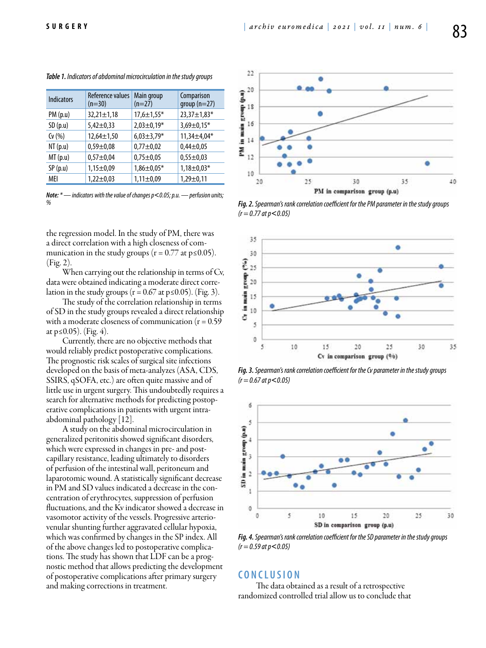| <b>Indicators</b> | Reference values<br>$(n=30)$ | Main group<br>$(n=27)$ | Comparison<br>group $(n=27)$ |
|-------------------|------------------------------|------------------------|------------------------------|
| PM(p.u)           | $32,21 \pm 1,18$             | $17,6 \pm 1,55*$       | 23,37±1,83*                  |
| SD(p.u)           | $5,42 \pm 0,33$              | $2,03\pm0,19*$         | $3,69 \pm 0,15*$             |
| Cv(%)             | $12,64 \pm 1,50$             | $6,03\pm3,79*$         | $11,34 \pm 4,04*$            |
| NT(p.u)           | $0,59 \pm 0,08$              | $0,77 \pm 0,02$        | $0,44\pm0,05$                |
| MT(p.u)           | $0,57+0,04$                  | $0,75 \pm 0,05$        | $0,55 \pm 0,03$              |
| SP(p.u)           | $1,15 \pm 0,09$              | $1,86 \pm 0,05*$       | $1,18 \pm 0,03*$             |
| MEI               | $1,22 \pm 0,03$              | $1,11\pm0.09$          | $1,29 \pm 0,11$              |

*Table 1. Indicators of abdominal microcirculation in the study groups*

*Note: \* — indicators with the value of changes p*˂*0.05; p.u. — perfusion units;* 

the regression model. In the study of PM, there was a direct correlation with a high closeness of communication in the study groups  $(r = 0.77 \text{ at } p \le 0.05)$ . (Fig. 2).

When carrying out the relationship in terms of Cv, data were obtained indicating a moderate direct correlation in the study groups ( $r = 0.67$  at  $p \le 0.05$ ). (Fig. 3).

The study of the correlation relationship in terms of SD in the study groups revealed a direct relationship with a moderate closeness of communication  $(r = 0.59)$ at  $p ≤ 0.05$ ). (Fig. 4).

Currently, there are no objective methods that would reliably predict postoperative complications. The prognostic risk scales of surgical site infections developed on the basis of meta-analyzes (ASA, CDS, SSIRS, qSOFA, etc.) are often quite massive and of little use in urgent surgery. This undoubtedly requires a search for alternative methods for predicting postoperative complications in patients with urgent intraabdominal pathology [12].

A study on the abdominal microcirculation in generalized peritonitis showed significant disorders, which were expressed in changes in pre- and postcapillary resistance, leading ultimately to disorders of perfusion of the intestinal wall, peritoneum and laparotomic wound. A statistically significant decrease in PM and SD values indicated a decrease in the concentration of erythrocytes, suppression of perfusion fluctuations, and the Kv indicator showed a decrease in vasomotor activity of the vessels. Progressive arteriovenular shunting further aggravated cellular hypoxia, which was confirmed by changes in the SP index. All of the above changes led to postoperative complications. The study has shown that LDF can be a prognostic method that allows predicting the development of postoperative complications after primary surgery and making corrections in treatment.



*% Fig. 2. Spearman's rank correlation coefficient for the PM parameter in the study groups (r = 0.77 at p*˂*0.05)*



*Fig. 3. Spearman's rank correlation coefficient for the Cv parameter in the study groups (r = 0.67 at p*˂*0.05)*



*Fig. 4. Spearman's rank correlation coefficient for the SD parameter in the study groups (r = 0.59 at p*˂*0.05)*

# **C o n cl u s i o n**

 The data obtained as a result of a retrospective randomized controlled trial allow us to conclude that